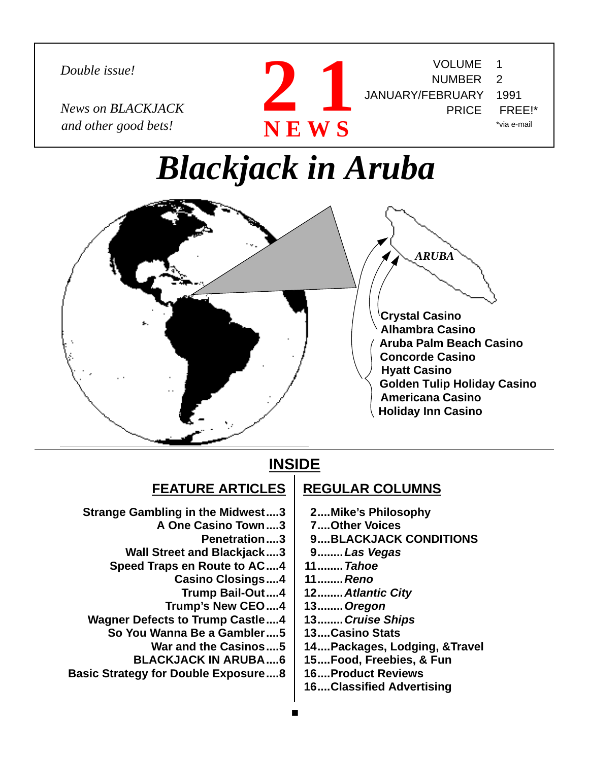*Double issue!*

*News on BLACKJACK and other good bets!*



# *Blackjack in Aruba*



### **INSIDE**

### **FEATURE ARTICLES**

- **Strange Gambling in the Midwest....3**
	- **A One Casino Town....3**
		- **Penetration....3**
	- **Wall Street and Blackjack....3**
	- **Speed Traps en Route to AC....4**
		- **Casino Closings....4**
			- **Trump Bail-Out....4**
		- **Trump's New CEO....4**
- **Wagner Defects to Trump Castle....4**
- **So You Wanna Be a Gambler....5**
	- **War and the Casinos....5**
	- **BLACKJACK IN ARUBA....6**
- **Basic Strategy for Double Exposure....8**

### **REGULAR COLUMNS**

- **2....Mike's Philosophy**
- **7....Other Voices**
- **9....BLACKJACK CONDITIONS**

VOLUME 1 NUMBER 2

PRICE FREE!\*

\*via e-mail

- **9........Las Vegas**
- **11........Tahoe**
- **11........Reno**
- **12........Atlantic City**
- **13........Oregon**
- **13........Cruise Ships**
- **13....Casino Stats**
- **14....Packages, Lodging, &Travel**
- **15....Food, Freebies, & Fun**
- **16....Product Reviews**
- **16....Classified Advertising**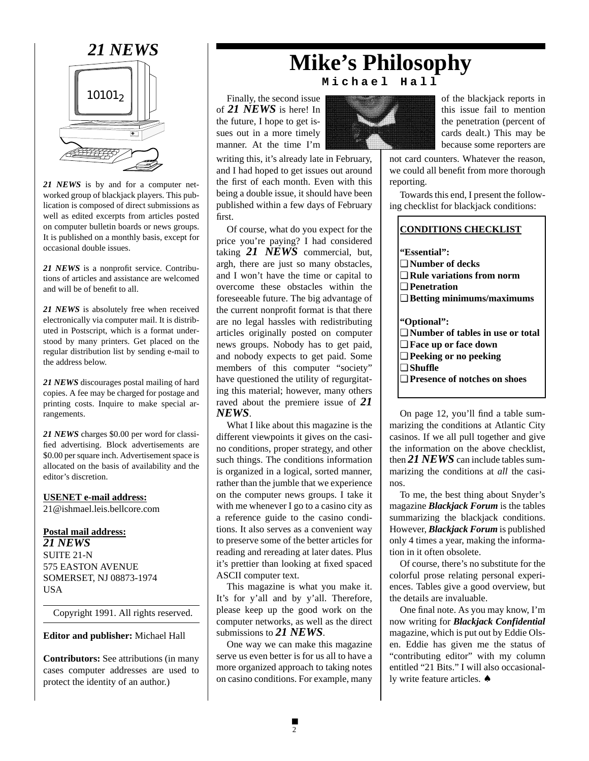

*21 NEWS* is by and for a computer networked group of blackjack players. This publication is composed of direct submissions as well as edited excerpts from articles posted on computer bulletin boards or news groups. It is published on a monthly basis, except for occasional double issues.

*21 NEWS* is a nonprofit service. Contributions of articles and assistance are welcomed and will be of benefit to all.

*21 NEWS* is absolutely free when received electronically via computer mail. It is distributed in Postscript, which is a format understood by many printers. Get placed on the regular distribution list by sending e-mail to the address below.

*21 NEWS* discourages postal mailing of hard copies. A fee may be charged for postage and printing costs. Inquire to make special arrangements.

*21 NEWS* charges \$0.00 per word for classified advertising. Block advertisements are \$0.00 per square inch. Advertisement space is allocated on the basis of availability and the editor's discretion.

#### **USENET e-mail address:**

21@ishmael.leis.bellcore.com

#### **Postal mail address:** *21 NEWS* SUITE 21-N 575 EASTON AVENUE SOMERSET, NJ 08873-1974

USA

Copyright 1991. All rights reserved.

**Editor and publisher:** Michael Hall

**Contributors:** See attributions (in many cases computer addresses are used to protect the identity of an author.)

## *21 NEWS* **Mike's Philosophy Michael Hall**

Finally, the second issue of *21 NEWS* is here! In the future, I hope to get issues out in a more timely manner. At the time I'm

writing this, it's already late in February, and I had hoped to get issues out around the first of each month. Even with this being a double issue, it should have been published within a few days of February first.

Of course, what do you expect for the price you're paying? I had considered taking *21 NEWS* commercial, but, argh, there are just so many obstacles, and I won't have the time or capital to overcome these obstacles within the foreseeable future. The big advantage of the current nonprofit format is that there are no legal hassles with redistributing articles originally posted on computer news groups. Nobody has to get paid, and nobody expects to get paid. Some members of this computer "society" have questioned the utility of regurgitating this material; however, many others raved about the premiere issue of *21 NEWS*.

What I like about this magazine is the different viewpoints it gives on the casino conditions, proper strategy, and other such things. The conditions information is organized in a logical, sorted manner, rather than the jumble that we experience on the computer news groups. I take it with me whenever I go to a casino city as a reference guide to the casino conditions. It also serves as a convenient way to preserve some of the better articles for reading and rereading at later dates. Plus it's prettier than looking at fixed spaced ASCII computer text.

This magazine is what you make it. It's for y'all and by y'all. Therefore, please keep up the good work on the computer networks, as well as the direct submissions to *21 NEWS*.

One way we can make this magazine serve us even better is for us all to have a more organized approach to taking notes on casino conditions. For example, many



of the blackjack reports in this issue fail to mention the penetration (percent of cards dealt.) This may be because some reporters are

not card counters. Whatever the reason, we could all benefit from more thorough reporting.

Towards this end, I present the following checklist for blackjack conditions:

On page 12, you'll find a table summarizing the conditions at Atlantic City casinos. If we all pull together and give the information on the above checklist, then *21 NEWS* can include tables summarizing the conditions at *all* the casinos.

To me, the best thing about Snyder's magazine *Blackjack Forum* is the tables summarizing the blackjack conditions. However, *Blackjack Forum* is published only 4 times a year, making the information in it often obsolete.

Of course, there's no substitute for the colorful prose relating personal experiences. Tables give a good overview, but the details are invaluable.

One final note. As you may know, I'm now writing for *Blackjack Confidential* magazine, which is put out by Eddie Olsen. Eddie has given me the status of "contributing editor" with my column entitled "21 Bits." I will also occasionally write feature articles. ♠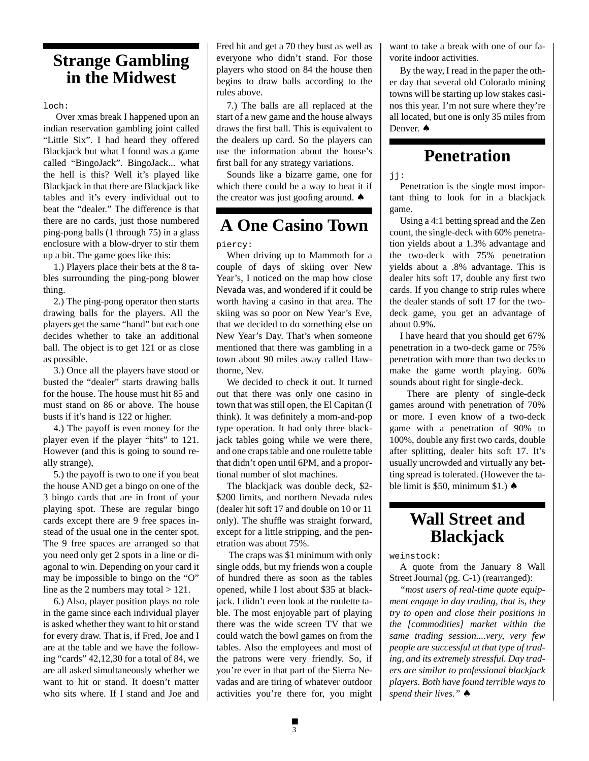### **Strange Gambling in the Midwest**

loch:

 Over xmas break I happened upon an indian reservation gambling joint called "Little Six". I had heard they offered Blackjack but what I found was a game called "BingoJack". BingoJack... what the hell is this? Well it's played like Blackjack in that there are Blackjack like tables and it's every individual out to beat the "dealer." The difference is that there are no cards, just those numbered ping-pong balls (1 through 75) in a glass enclosure with a blow-dryer to stir them up a bit. The game goes like this:

1.) Players place their bets at the 8 tables surrounding the ping-pong blower thing.

2.) The ping-pong operator then starts drawing balls for the players. All the players get the same "hand" but each one decides whether to take an additional ball. The object is to get 121 or as close as possible.

3.) Once all the players have stood or busted the "dealer" starts drawing balls for the house. The house must hit 85 and must stand on 86 or above. The house busts if it's hand is 122 or higher.

4.) The payoff is even money for the player even if the player "hits" to 121. However (and this is going to sound really strange),

5.) the payoff is two to one if you beat the house AND get a bingo on one of the 3 bingo cards that are in front of your playing spot. These are regular bingo cards except there are 9 free spaces instead of the usual one in the center spot. The 9 free spaces are arranged so that you need only get 2 spots in a line or diagonal to win. Depending on your card it may be impossible to bingo on the "O" line as the 2 numbers may total  $> 121$ .

6.) Also, player position plays no role in the game since each individual player is asked whether they want to hit or stand for every draw. That is, if Fred, Joe and I are at the table and we have the following "cards" 42,12,30 for a total of 84, we are all asked simultaneously whether we want to hit or stand. It doesn't matter who sits where. If I stand and Joe and

Fred hit and get a 70 they bust as well as everyone who didn't stand. For those players who stood on 84 the house then begins to draw balls according to the rules above.

7.) The balls are all replaced at the start of a new game and the house always draws the first ball. This is equivalent to the dealers up card. So the players can use the information about the house's first ball for any strategy variations.

Sounds like a bizarre game, one for which there could be a way to beat it if the creator was just goofing around. ♠

### **A One Casino Town**

piercy:

When driving up to Mammoth for a couple of days of skiing over New Year's, I noticed on the map how close Nevada was, and wondered if it could be worth having a casino in that area. The skiing was so poor on New Year's Eve, that we decided to do something else on New Year's Day. That's when someone mentioned that there was gambling in a town about 90 miles away called Hawthorne, Nev.

We decided to check it out. It turned out that there was only one casino in town that was still open, the El Capitan (I think). It was definitely a mom-and-pop type operation. It had only three blackjack tables going while we were there, and one craps table and one roulette table that didn't open until 6PM, and a proportional number of slot machines.

The blackjack was double deck, \$2- \$200 limits, and northern Nevada rules (dealer hit soft 17 and double on 10 or 11 only). The shuffle was straight forward, except for a little stripping, and the penetration was about 75%.

 The craps was \$1 minimum with only single odds, but my friends won a couple of hundred there as soon as the tables opened, while I lost about \$35 at blackjack. I didn't even look at the roulette table. The most enjoyable part of playing there was the wide screen TV that we could watch the bowl games on from the tables. Also the employees and most of the patrons were very friendly. So, if you're ever in that part of the Sierra Nevadas and are tiring of whatever outdoor activities you're there for, you might

want to take a break with one of our favorite indoor activities.

By the way, I read in the paper the other day that several old Colorado mining towns will be starting up low stakes casinos this year. I'm not sure where they're all located, but one is only 35 miles from Denver. **↑** 

### **Penetration**

jj:

Penetration is the single most important thing to look for in a blackjack game.

Using a 4:1 betting spread and the Zen count, the single-deck with 60% penetration yields about a 1.3% advantage and the two-deck with 75% penetration yields about a .8% advantage. This is dealer hits soft 17, double any first two cards. If you change to strip rules where the dealer stands of soft 17 for the twodeck game, you get an advantage of about 0.9%.

I have heard that you should get 67% penetration in a two-deck game or 75% penetration with more than two decks to make the game worth playing. 60% sounds about right for single-deck.

 There are plenty of single-deck games around with penetration of 70% or more. I even know of a two-deck game with a penetration of 90% to 100%, double any first two cards, double after splitting, dealer hits soft 17. It's usually uncrowded and virtually any betting spread is tolerated. (However the table limit is \$50, minimum \$1.) ♠

### **Wall Street and Blackjack**

weinstock:

A quote from the January 8 Wall Street Journal (pg. C-1) (rearranged):

*"most users of real-time quote equipment engage in day trading, that is, they try to open and close their positions in the [commodities] market within the same trading session....very, very few people are successful at that type of trading, and its extremely stressful. Day traders are similar to professional blackjack players. Both have found terrible ways to spend their lives."* ♠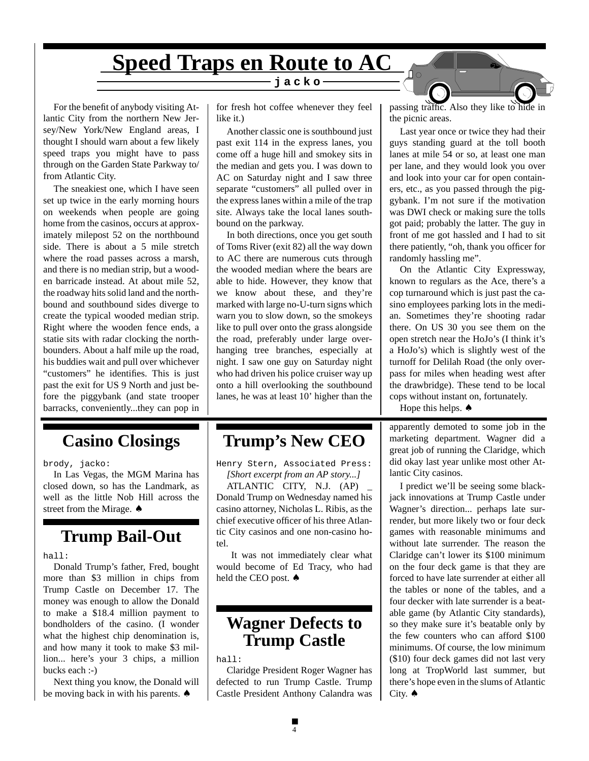# **Speed Traps en Route to AC**

For the benefit of anybody visiting Atlantic City from the northern New Jersey/New York/New England areas, I thought I should warn about a few likely speed traps you might have to pass through on the Garden State Parkway to/ from Atlantic City.

The sneakiest one, which I have seen set up twice in the early morning hours on weekends when people are going home from the casinos, occurs at approximately milepost 52 on the northbound side. There is about a 5 mile stretch where the road passes across a marsh, and there is no median strip, but a wooden barricade instead. At about mile 52, the roadway hits solid land and the northbound and southbound sides diverge to create the typical wooded median strip. Right where the wooden fence ends, a statie sits with radar clocking the northbounders. About a half mile up the road, his buddies wait and pull over whichever "customers" he identifies. This is just past the exit for US 9 North and just before the piggybank (and state trooper barracks, conveniently...they can pop in

### **Casino Closings**

brody, jacko:

In Las Vegas, the MGM Marina has closed down, so has the Landmark, as well as the little Nob Hill across the street from the Mirage. ♠

### **Trump Bail-Out**

hall:

Donald Trump's father, Fred, bought more than \$3 million in chips from Trump Castle on December 17. The money was enough to allow the Donald to make a \$18.4 million payment to bondholders of the casino. (I wonder what the highest chip denomination is, and how many it took to make \$3 million... here's your 3 chips, a million bucks each :-)

Next thing you know, the Donald will be moving back in with his parents. ♠

for fresh hot coffee whenever they feel like it.)

**jacko** 

Another classic one is southbound just past exit 114 in the express lanes, you come off a huge hill and smokey sits in the median and gets you. I was down to AC on Saturday night and I saw three separate "customers" all pulled over in the express lanes within a mile of the trap site. Always take the local lanes southbound on the parkway.

In both directions, once you get south of Toms River (exit 82) all the way down to AC there are numerous cuts through the wooded median where the bears are able to hide. However, they know that we know about these, and they're marked with large no-U-turn signs which warn you to slow down, so the smokeys like to pull over onto the grass alongside the road, preferably under large overhanging tree branches, especially at night. I saw one guy on Saturday night who had driven his police cruiser way up onto a hill overlooking the southbound lanes, he was at least 10' higher than the

### **Trump's New CEO**

Henry Stern, Associated Press: *[Short excerpt from an AP story...]*

ATLANTIC CITY, N.J. (AP) \_ Donald Trump on Wednesday named his casino attorney, Nicholas L. Ribis, as the chief executive officer of his three Atlantic City casinos and one non-casino hotel.

 It was not immediately clear what would become of Ed Tracy, who had held the CEO post. ♠

### **Wagner Defects to Trump Castle**

hall:

Claridge President Roger Wagner has defected to run Trump Castle. Trump Castle President Anthony Calandra was passing traffic. Also they like to hide in the picnic areas.

Last year once or twice they had their guys standing guard at the toll booth lanes at mile 54 or so, at least one man per lane, and they would look you over and look into your car for open containers, etc., as you passed through the piggybank. I'm not sure if the motivation was DWI check or making sure the tolls got paid; probably the latter. The guy in front of me got hassled and I had to sit there patiently, "oh, thank you officer for randomly hassling me".

On the Atlantic City Expressway, known to regulars as the Ace, there's a cop turnaround which is just past the casino employees parking lots in the median. Sometimes they're shooting radar there. On US 30 you see them on the open stretch near the HoJo's (I think it's a HoJo's) which is slightly west of the turnoff for Delilah Road (the only overpass for miles when heading west after the drawbridge). These tend to be local cops without instant on, fortunately.

Hope this helps.  $\triangle$ 

apparently demoted to some job in the marketing department. Wagner did a great job of running the Claridge, which did okay last year unlike most other Atlantic City casinos.

I predict we'll be seeing some blackjack innovations at Trump Castle under Wagner's direction... perhaps late surrender, but more likely two or four deck games with reasonable minimums and without late surrender. The reason the Claridge can't lower its \$100 minimum on the four deck game is that they are forced to have late surrender at either all the tables or none of the tables, and a four decker with late surrender is a beatable game (by Atlantic City standards), so they make sure it's beatable only by the few counters who can afford \$100 minimums. Of course, the low minimum (\$10) four deck games did not last very long at TropWorld last summer, but there's hope even in the slums of Atlantic City. ♠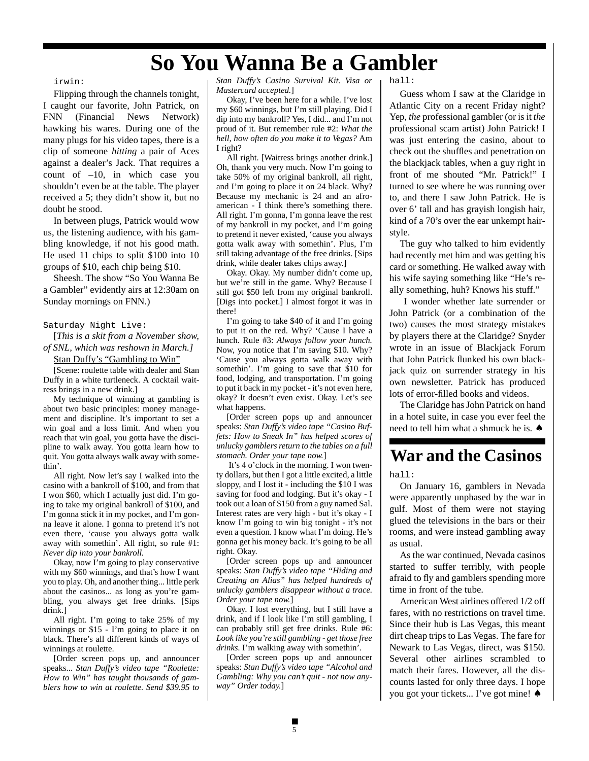## **So You Wanna Be a Gambler**

#### irwin:

Flipping through the channels tonight, I caught our favorite, John Patrick, on FNN (Financial News Network) hawking his wares. During one of the many plugs for his video tapes, there is a clip of someone *hitting* a pair of Aces against a dealer's Jack. That requires a count of –10, in which case you shouldn't even be at the table. The player received a 5; they didn't show it, but no doubt he stood.

In between plugs, Patrick would wow us, the listening audience, with his gambling knowledge, if not his good math. He used 11 chips to split \$100 into 10 groups of \$10, each chip being \$10.

Sheesh. The show "So You Wanna Be a Gambler" evidently airs at 12:30am on Sunday mornings on FNN.)

#### Saturday Night Live:

[*This is a skit from a November show, of SNL, which was reshown in March.]*

Stan Duffy's "Gambling to Win"

[Scene: roulette table with dealer and Stan Duffy in a white turtleneck. A cocktail waitress brings in a new drink.]

My technique of winning at gambling is about two basic principles: money management and discipline. It's important to set a win goal and a loss limit. And when you reach that win goal, you gotta have the discipline to walk away. You gotta learn how to quit. You gotta always walk away with somethin'.

All right. Now let's say I walked into the casino with a bankroll of \$100, and from that I won \$60, which I actually just did. I'm going to take my original bankroll of \$100, and I'm gonna stick it in my pocket, and I'm gonna leave it alone. I gonna to pretend it's not even there, 'cause you always gotta walk away with somethin'. All right, so rule #1: *Never dip into your bankroll.*

Okay, now I'm going to play conservative with my \$60 winnings, and that's how I want you to play. Oh, and another thing... little perk about the casinos... as long as you're gambling, you always get free drinks. [Sips drink.]

All right. I'm going to take 25% of my winnings or \$15 - I'm going to place it on black. There's all different kinds of ways of winnings at roulette.

[Order screen pops up, and announcer speaks... *Stan Duffy's video tape "Roulette: How to Win" has taught thousands of gamblers how to win at roulette. Send \$39.95 to*

*Stan Duffy's Casino Survival Kit. Visa or Mastercard accepted.*]

Okay, I've been here for a while. I've lost my \$60 winnings, but I'm still playing. Did I dip into my bankroll? Yes, I did... and I'm not proud of it. But remember rule #2: *What the hell, how often do you make it to Vegas?* Am I right?

All right. [Waitress brings another drink.] Oh, thank you very much. Now I'm going to take 50% of my original bankroll, all right, and I'm going to place it on 24 black. Why? Because my mechanic is 24 and an afroamerican - I think there's something there. All right. I'm gonna, I'm gonna leave the rest of my bankroll in my pocket, and I'm going to pretend it never existed, 'cause you always gotta walk away with somethin'. Plus, I'm still taking advantage of the free drinks. [Sips drink, while dealer takes chips away.]

Okay. Okay. My number didn't come up, but we're still in the game. Why? Because I still got \$50 left from my original bankroll. [Digs into pocket.] I almost forgot it was in there!

I'm going to take \$40 of it and I'm going to put it on the red. Why? 'Cause I have a hunch. Rule #3: *Always follow your hunch.* Now, you notice that I'm saving \$10. Why? 'Cause you always gotta walk away with somethin'. I'm going to save that \$10 for food, lodging, and transportation. I'm going to put it back in my pocket - it's not even here, okay? It doesn't even exist. Okay. Let's see what happens.

[Order screen pops up and announcer speaks: *Stan Duffy's video tape "Casino Buffets: How to Sneak In" has helped scores of unlucky gamblers return to the tables on a full stomach. Order your tape now.*]

 It's 4 o'clock in the morning. I won twenty dollars, but then I got a little excited, a little sloppy, and I lost it - including the \$10 I was saving for food and lodging. But it's okay - I took out a loan of \$150 from a guy named Sal. Interest rates are very high - but it's okay - I know I'm going to win big tonight - it's not even a question. I know what I'm doing. He's gonna get his money back. It's going to be all right. Okay.

[Order screen pops up and announcer speaks: *Stan Duffy's video tape "Hiding and Creating an Alias" has helped hundreds of unlucky gamblers disappear without a trace. Order your tape now.*]

Okay. I lost everything, but I still have a drink, and if I look like I'm still gambling, I can probably still get free drinks. Rule #6: *Look like you're still gambling - get those free drinks.* I'm walking away with somethin'.

[Order screen pops up and announcer speaks: *Stan Duffy's video tape "Alcohol and Gambling: Why you can't quit - not now anyway" Order today.*]

hall:

Guess whom I saw at the Claridge in Atlantic City on a recent Friday night? Yep, *the* professional gambler (or is it *the* professional scam artist) John Patrick! I was just entering the casino, about to check out the shuffles and penetration on the blackjack tables, when a guy right in front of me shouted "Mr. Patrick!" I turned to see where he was running over to, and there I saw John Patrick. He is over 6' tall and has grayish longish hair, kind of a 70's over the ear unkempt hairstyle.

The guy who talked to him evidently had recently met him and was getting his card or something. He walked away with his wife saying something like "He's really something, huh? Knows his stuff."

 I wonder whether late surrender or John Patrick (or a combination of the two) causes the most strategy mistakes by players there at the Claridge? Snyder wrote in an issue of Blackjack Forum that John Patrick flunked his own blackjack quiz on surrender strategy in his own newsletter. Patrick has produced lots of error-filled books and videos.

The Claridge has John Patrick on hand in a hotel suite, in case you ever feel the need to tell him what a shmuck he is. ♠

### **War and the Casinos**

hall:

On January 16, gamblers in Nevada were apparently unphased by the war in gulf. Most of them were not staying glued the televisions in the bars or their rooms, and were instead gambling away as usual.

As the war continued, Nevada casinos started to suffer terribly, with people afraid to fly and gamblers spending more time in front of the tube.

American West airlines offered 1/2 off fares, with no restrictions on travel time. Since their hub is Las Vegas, this meant dirt cheap trips to Las Vegas. The fare for Newark to Las Vegas, direct, was \$150. Several other airlines scrambled to match their fares. However, all the discounts lasted for only three days. I hope you got your tickets... I've got mine! ♠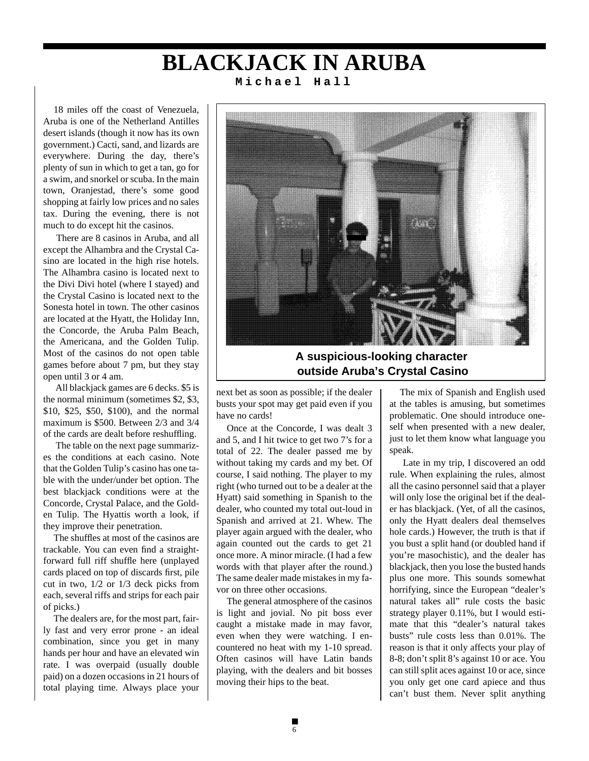### **BLACKJACK IN ARUBA Michael Hall**

18 miles off the coast of Venezuela, Aruba is one of the Netherland Antilles desert islands (though it now has its own government.) Cacti, sand, and lizards are everywhere. During the day, there's plenty of sun in which to get a tan, go for a swim, and snorkel or scuba. In the main town, Oranjestad, there's some good shopping at fairly low prices and no sales tax. During the evening, there is not much to do except hit the casinos.

 There are 8 casinos in Aruba, and all except the Alhambra and the Crystal Casino are located in the high rise hotels. The Alhambra casino is located next to the Divi Divi hotel (where I stayed) and the Crystal Casino is located next to the Sonesta hotel in town. The other casinos are located at the Hyatt, the Holiday Inn, the Concorde, the Aruba Palm Beach, the Americana, and the Golden Tulip. Most of the casinos do not open table games before about 7 pm, but they stay open until 3 or 4 am.

 All blackjack games are 6 decks. \$5 is the normal minimum (sometimes \$2, \$3, \$10, \$25, \$50, \$100), and the normal maximum is \$500. Between 2/3 and 3/4 of the cards are dealt before reshuffling.

 The table on the next page summarizes the conditions at each casino. Note that the Golden Tulip's casino has one table with the under/under bet option. The best blackjack conditions were at the Concorde, Crystal Palace, and the Golden Tulip. The Hyattis worth a look, if they improve their penetration.

The shuffles at most of the casinos are trackable. You can even find a straightforward full riff shuffle here (unplayed cards placed on top of discards first, pile cut in two, 1/2 or 1/3 deck picks from each, several riffs and strips for each pair of picks.)

The dealers are, for the most part, fairly fast and very error prone - an ideal combination, since you get in many hands per hour and have an elevated win rate. I was overpaid (usually double paid) on a dozen occasions in 21 hours of total playing time. Always place your



**A suspicious-looking character outside Aruba's Crystal Casino**

next bet as soon as possible; if the dealer busts your spot may get paid even if you have no cards!

Once at the Concorde, I was dealt 3 and 5, and I hit twice to get two 7's for a total of 22. The dealer passed me by without taking my cards and my bet. Of course, I said nothing. The player to my right (who turned out to be a dealer at the Hyatt) said something in Spanish to the dealer, who counted my total out-loud in Spanish and arrived at 21. Whew. The player again argued with the dealer, who again counted out the cards to get 21 once more. A minor miracle. (I had a few words with that player after the round.) The same dealer made mistakes in my favor on three other occasions.

The general atmosphere of the casinos is light and jovial. No pit boss ever caught a mistake made in may favor, even when they were watching. I encountered no heat with my 1-10 spread. Often casinos will have Latin bands playing, with the dealers and bit bosses moving their hips to the beat.

The mix of Spanish and English used at the tables is amusing, but sometimes problematic. One should introduce oneself when presented with a new dealer, just to let them know what language you speak.

 Late in my trip, I discovered an odd rule. When explaining the rules, almost all the casino personnel said that a player will only lose the original bet if the dealer has blackjack. (Yet, of all the casinos, only the Hyatt dealers deal themselves hole cards.) However, the truth is that if you bust a split hand (or doubled hand if you're masochistic), and the dealer has blackjack, then you lose the busted hands plus one more. This sounds somewhat horrifying, since the European "dealer's natural takes all" rule costs the basic strategy player 0.11%, but I would estimate that this "dealer's natural takes busts" rule costs less than 0.01%. The reason is that it only affects your play of 8-8; don't split 8's against 10 or ace. You can still split aces against 10 or ace, since you only get one card apiece and thus can't bust them. Never split anything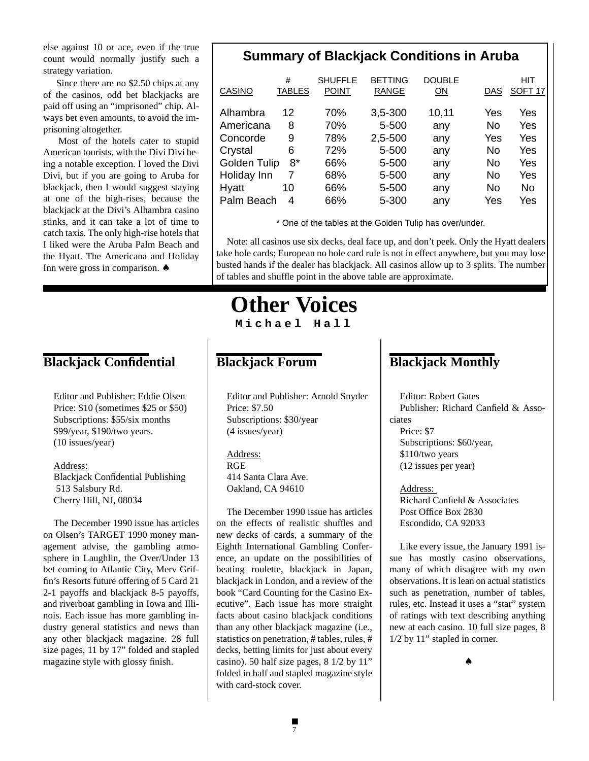else against 10 or ace, even if the true count would normally justify such a strategy variation.

 Since there are no \$2.50 chips at any of the casinos, odd bet blackjacks are paid off using an "imprisoned" chip. Always bet even amounts, to avoid the imprisoning altogether.

 Most of the hotels cater to stupid American tourists, with the Divi Divi being a notable exception. I loved the Divi Divi, but if you are going to Aruba for blackjack, then I would suggest staying at one of the high-rises, because the blackjack at the Divi's Alhambra casino stinks, and it can take a lot of time to catch taxis. The only high-rise hotels that I liked were the Aruba Palm Beach and the Hyatt. The Americana and Holiday Inn were gross in comparison. ♠

### **Blackjack Confidential**

Editor and Publisher: Eddie Olsen Price: \$10 (sometimes \$25 or \$50) Subscriptions: \$55/six months \$99/year, \$190/two years. (10 issues/year)

Address: Blackjack Confidential Publishing 513 Salsbury Rd. Cherry Hill, NJ, 08034

The December 1990 issue has articles on Olsen's TARGET 1990 money management advise, the gambling atmosphere in Laughlin, the Over/Under 13 bet coming to Atlantic City, Merv Griffin's Resorts future offering of 5 Card 21 2-1 payoffs and blackjack 8-5 payoffs, and riverboat gambling in Iowa and Illinois. Each issue has more gambling industry general statistics and news than any other blackjack magazine. 28 full size pages, 11 by 17" folded and stapled magazine style with glossy finish.

### **Summary of Blackjack Conditions in Aruba**

| CASINO       | #<br><b>TABLES</b> | <b>SHUFFLE</b><br><b>POINT</b> | <b>BETTING</b><br><b>RANGE</b> | <b>DOUBLE</b><br>ON | DAS | HIT<br>SOFT <sub>17</sub> |
|--------------|--------------------|--------------------------------|--------------------------------|---------------------|-----|---------------------------|
| Alhambra     | 12                 | 70%                            | 3,5-300                        | 10,11               | Yes | Yes                       |
| Americana    | 8                  | 70%                            | 5-500                          | any                 | No  | Yes                       |
| Concorde     | 9                  | 78%                            | 2,5-500                        | any                 | Yes | Yes                       |
| Crystal      | 6                  | 72%                            | 5-500                          | any                 | No  | Yes                       |
| Golden Tulip | $8*$               | 66%                            | 5-500                          | any                 | No  | Yes                       |
| Holiday Inn  | 7                  | 68%                            | 5-500                          | any                 | No  | Yes                       |
| Hyatt        | 10                 | 66%                            | 5-500                          | any                 | No  | No                        |
| Palm Beach   | 4                  | 66%                            | 5-300                          | any                 | Yes | Yes                       |

\* One of the tables at the Golden Tulip has over/under.

Note: all casinos use six decks, deal face up, and don't peek. Only the Hyatt dealers take hole cards; European no hole card rule is not in effect anywhere, but you may lose busted hands if the dealer has blackjack. All casinos allow up to 3 splits. The number of tables and shuffle point in the above table are approximate.

### **Other Voices Michael Hall**

### **Blackjack Forum**

Editor and Publisher: Arnold Snyder Price: \$7.50 Subscriptions: \$30/year (4 issues/year)

Address: RGE 414 Santa Clara Ave. Oakland, CA 94610

The December 1990 issue has articles on the effects of realistic shuffles and new decks of cards, a summary of the Eighth International Gambling Conference, an update on the possibilities of beating roulette, blackjack in Japan, blackjack in London, and a review of the book "Card Counting for the Casino Executive". Each issue has more straight facts about casino blackjack conditions than any other blackjack magazine (i.e., statistics on penetration, # tables, rules, # decks, betting limits for just about every casino). 50 half size pages, 8 1/2 by 11" folded in half and stapled magazine style with card-stock cover.

### **Blackjack Monthly**

Editor: Robert Gates Publisher: Richard Canfield & Associates Price: \$7 Subscriptions: \$60/year, \$110/two years (12 issues per year)

Address: Richard Canfield & Associates Post Office Box 2830 Escondido, CA 92033

Like every issue, the January 1991 issue has mostly casino observations, many of which disagree with my own observations. It is lean on actual statistics such as penetration, number of tables, rules, etc. Instead it uses a "star" system of ratings with text describing anything new at each casino. 10 full size pages, 8 1/2 by 11" stapled in corner.

♠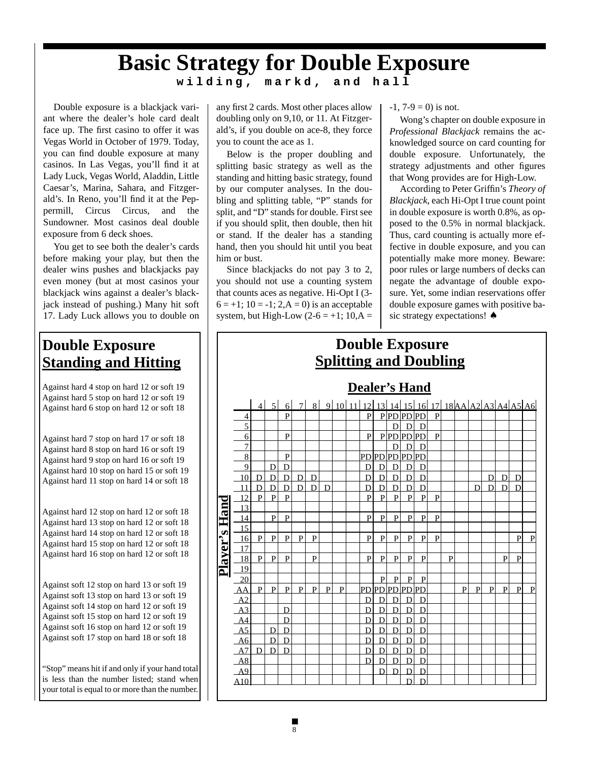# **Basic Strategy for Double Exposure**

**wilding, markd, and hall**

Double exposure is a blackjack variant where the dealer's hole card dealt face up. The first casino to offer it was Vegas World in October of 1979. Today, you can find double exposure at many casinos. In Las Vegas, you'll find it at Lady Luck, Vegas World, Aladdin, Little Caesar's, Marina, Sahara, and Fitzgerald's. In Reno, you'll find it at the Peppermill, Circus Circus, and the Sundowner. Most casinos deal double exposure from 6 deck shoes.

You get to see both the dealer's cards before making your play, but then the dealer wins pushes and blackjacks pay even money (but at most casinos your blackjack wins against a dealer's blackjack instead of pushing.) Many hit soft 17. Lady Luck allows you to double on

### **Double Exposure Standing and Hitting**

Against hard 4 stop on hard 12 or soft 19 Against hard 5 stop on hard 12 or soft 19 Against hard 6 stop on hard 12 or soft 18

Against hard 7 stop on hard 17 or soft 18 Against hard 8 stop on hard 16 or soft 19 Against hard 9 stop on hard 16 or soft 19 Against hard 10 stop on hard 15 or soft 19 Against hard 11 stop on hard 14 or soft 18

Against hard 12 stop on hard 12 or soft 18 Against hard 13 stop on hard 12 or soft 18 Against hard 14 stop on hard 12 or soft 18 Against hard 15 stop on hard 12 or soft 18 Against hard 16 stop on hard 12 or soft 18

Against soft 12 stop on hard 13 or soft 19 Against soft 13 stop on hard 13 or soft 19 Against soft 14 stop on hard 12 or soft 19 Against soft 15 stop on hard 12 or soft 19 Against soft 16 stop on hard 12 or soft 19 Against soft 17 stop on hard 18 or soft 18

"Stop" means hit if and only if your hand total is less than the number listed; stand when your total is equal to or more than the number.

any first 2 cards. Most other places allow doubling only on 9,10, or 11. At Fitzgerald's, if you double on ace-8, they force you to count the ace as 1.

Below is the proper doubling and splitting basic strategy as well as the standing and hitting basic strategy, found by our computer analyses. In the doubling and splitting table, "P" stands for split, and "D" stands for double. First see if you should split, then double, then hit or stand. If the dealer has a standing hand, then you should hit until you beat him or bust.

Since blackjacks do not pay 3 to 2, you should not use a counting system that counts aces as negative. Hi-Opt I (3-  $6 = +1$ ;  $10 = -1$ ;  $2, A = 0$ ) is an acceptable system, but High-Low  $(2-6 = +1; 10, A =$ 

 $-1$ ,  $7-9 = 0$ ) is not.

Wong's chapter on double exposure in *Professional Blackjack* remains the acknowledged source on card counting for double exposure. Unfortunately, the strategy adjustments and other figures that Wong provides are for High-Low.

According to Peter Griffin's *Theory of Blackjack*, each Hi-Opt I true count point in double exposure is worth 0.8%, as opposed to the 0.5% in normal blackjack. Thus, card counting is actually more effective in double exposure, and you can potentially make more money. Beware: poor rules or large numbers of decks can negate the advantage of double exposure. Yet, some indian reservations offer double exposure games with positive basic strategy expectations! ♠

### **Splitting and Doubling Double Exposure**

### **Dealer's Hand**

|               |                                                                                                         | $\overline{4}$ | 5 <sup>1</sup> | 6 <sup>1</sup> | $\tau$       | 8 |   | 9 10 11 | 12             | 13             |                |                                                                      | $14$ 15 16 17  |              |              |   |              | 18 AA A2 A3 A4 A5 A6 |   |              |   |
|---------------|---------------------------------------------------------------------------------------------------------|----------------|----------------|----------------|--------------|---|---|---------|----------------|----------------|----------------|----------------------------------------------------------------------|----------------|--------------|--------------|---|--------------|----------------------|---|--------------|---|
|               | 4                                                                                                       |                |                | P              |              |   |   |         | P              |                |                | P PD PD PD                                                           |                | $\mathbf{P}$ |              |   |              |                      |   |              |   |
|               | 5                                                                                                       |                |                |                |              |   |   |         |                |                | $\mathbf{D}$   | $\mathbf{D}$                                                         | D              |              |              |   |              |                      |   |              |   |
|               | $\overline{6}$                                                                                          |                |                | $\mathbf{P}$   |              |   |   |         | $\mathbf{P}$   |                |                | P PD PD                                                              | PD             | ${\bf P}$    |              |   |              |                      |   |              |   |
|               | $\overline{7}$                                                                                          |                |                |                |              |   |   |         |                |                | D              | $\overline{D}$                                                       | $\mathbf D$    |              |              |   |              |                      |   |              |   |
|               | 8                                                                                                       |                |                | $\mathbf P$    |              |   |   |         | PD             | PD             |                | <u>PDPDPD</u>                                                        |                |              |              |   |              |                      |   |              |   |
|               | 9                                                                                                       |                | D              | $\mathbf D$    |              |   |   |         | D              | D              | $\mathbf D$    | $\overline{D}$                                                       | D              |              |              |   |              |                      |   |              |   |
|               | 10                                                                                                      | D              | D              | D              | D            | D |   |         | D              | D              | $\mathbf{D}$   | $\overline{D}$                                                       | D              |              |              |   |              | D                    | D | D            |   |
|               | 11                                                                                                      | $\overline{D}$ | $\overline{D}$ | $\overline{D}$ | $\mathbf{D}$ | D | D |         | $\overline{D}$ | $\overline{D}$ | $\overline{D}$ | $\overline{D}$                                                       | $\overline{D}$ |              |              |   | D            | D                    | D | D            |   |
|               | 12                                                                                                      | $\overline{P}$ | $\overline{P}$ | $\mathbf{P}$   |              |   |   |         | $\overline{P}$ | $\overline{P}$ | $\overline{P}$ | $\overline{P}$                                                       | $\overline{P}$ | $\mathbf{P}$ |              |   |              |                      |   |              |   |
|               | 13                                                                                                      |                |                |                |              |   |   |         |                |                |                |                                                                      |                |              |              |   |              |                      |   |              |   |
|               | 14                                                                                                      |                | P              | P              |              |   |   |         | P              | $\mathbf{P}$   | P              | ${\bf P}$                                                            | $\mathbf{P}$   | $\mathbf{P}$ |              |   |              |                      |   |              |   |
|               | 15                                                                                                      |                |                |                |              |   |   |         |                |                |                |                                                                      |                |              |              |   |              |                      |   |              |   |
| Player's Hand | 16                                                                                                      | $\mathbf{P}$   | $\mathbf{P}$   | P              | P            | P |   |         | P              | P              | P              | $\mathbf{P}$                                                         | $\mathbf{P}$   | $\mathbf{P}$ |              |   |              |                      |   | P            | P |
|               | 17                                                                                                      |                |                |                |              |   |   |         |                |                |                |                                                                      |                |              |              |   |              |                      |   |              |   |
|               | 18                                                                                                      | P              | $\mathbf{P}$   | $\mathbf{P}$   |              | P |   |         | $\mathbf{P}$   | P              | P              | $\overline{P}$                                                       | $\mathbf{P}$   |              | $\mathbf{P}$ |   |              |                      | P | $\mathbf{P}$ |   |
|               | 19                                                                                                      |                |                |                |              |   |   |         |                |                |                |                                                                      |                |              |              |   |              |                      |   |              |   |
|               | 20                                                                                                      |                |                |                |              |   |   |         |                | $\mathbf{P}$   | P              | $\mathbf{P}$                                                         | P              |              |              |   |              |                      |   |              |   |
|               | AA                                                                                                      | $\mathbf{P}$   | P              | P              | P            | P | P | P       | <b>PD</b>      |                |                | $\overline{\mathrm{PD}}\overline{\mathrm{PD}}\overline{\mathrm{PD}}$ | <b>PD</b>      |              |              | P | $\mathbf{P}$ | P                    | P | P            | P |
|               |                                                                                                         |                |                |                |              |   |   |         | D              | D              | D              | D                                                                    | D              |              |              |   |              |                      |   |              |   |
|               |                                                                                                         |                |                | D              |              |   |   |         | D              | D              | $\overline{D}$ | D                                                                    | D              |              |              |   |              |                      |   |              |   |
|               | $\begin{array}{r}\n  \  \, \text{A2} \\ \text{A3} \\ \text{A4} \\ \text{A5} \\ \text{A6}\n \end{array}$ |                |                | D              |              |   |   |         | D              | D              | $\overline{D}$ | D                                                                    | D              |              |              |   |              |                      |   |              |   |
|               |                                                                                                         |                | D              | D              |              |   |   |         | D              | D              | D              | D                                                                    | D              |              |              |   |              |                      |   |              |   |
|               |                                                                                                         |                | D              | D              |              |   |   |         | D              | D              | D              | D                                                                    | D              |              |              |   |              |                      |   |              |   |
|               | A7                                                                                                      | D              | D              | D              |              |   |   |         | D              | D              | D              | D                                                                    | D              |              |              |   |              |                      |   |              |   |
|               | $\frac{A8}{A9}$                                                                                         |                |                |                |              |   |   |         | D              | D              | D              | D                                                                    | D              |              |              |   |              |                      |   |              |   |
|               |                                                                                                         |                |                |                |              |   |   |         |                | D              | D              | D                                                                    | D              |              |              |   |              |                      |   |              |   |
|               | A10                                                                                                     |                |                |                |              |   |   |         |                |                |                | D                                                                    | D              |              |              |   |              |                      |   |              |   |
|               |                                                                                                         |                |                |                |              |   |   |         |                |                |                |                                                                      |                |              |              |   |              |                      |   |              |   |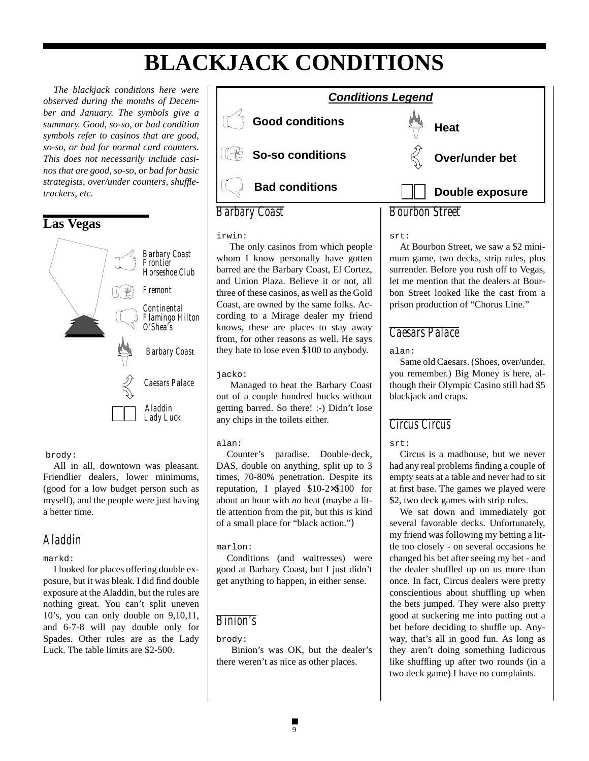# **BLACKJACK CONDITIONS**

*The blackjack conditions here were observed during the months of December and January. The symbols give a summary. Good, so-so, or bad condition symbols refer to casinos that are good, so-so, or bad for normal card counters. This does not necessarily include casinos that are good, so-so, or bad for basic strategists, over/under counters, shuffletrackers, etc.*



#### brody:

All in all, downtown was pleasant. Friendlier dealers, lower minimums, (good for a low budget person such as myself), and the people were just having a better time.

#### *Aladdin*

#### markd:

I looked for places offering double exposure, but it was bleak. I did find double exposure at the Aladdin, but the rules are nothing great. You can't split uneven 10's, you can only double on 9,10,11, and 6-7-8 will pay double only for Spades. Other rules are as the Lady Luck. The table limits are \$2-500.



#### irwin:

 The only casinos from which people whom I know personally have gotten barred are the Barbary Coast, El Cortez, and Union Plaza. Believe it or not, all three of these casinos, as well as the Gold Coast, are owned by the same folks. According to a Mirage dealer my friend knows, these are places to stay away from, for other reasons as well. He says they hate to lose even \$100 to anybody.

#### jacko:

 Managed to beat the Barbary Coast out of a couple hundred bucks without getting barred. So there! :-) Didn't lose any chips in the toilets either.

#### alan:

Counter's paradise. Double-deck, DAS, double on anything, split up to 3 times, 70-80% penetration. Despite its reputation, I played \$10-2×\$100 for about an hour with *no* heat (maybe a little attention from the pit, but this *is* kind of a small place for "black action.")

#### marlon:

Conditions (and waitresses) were good at Barbary Coast, but I just didn't get anything to happen, in either sense.

### *Binion's*

#### brody:

 Binion's was OK, but the dealer's there weren't as nice as other places.

At Bourbon Street, we saw a \$2 minimum game, two decks, strip rules, plus surrender. Before you rush off to Vegas, let me mention that the dealers at Bourbon Street looked like the cast from a prison production of "Chorus Line."

#### *Caesars Palace*

alan:

srt:

Same old Caesars. (Shoes, over/under, you remember.) Big Money is here, although their Olympic Casino still had \$5 blackjack and craps.

### *Circus Circus*

#### srt:

Circus is a madhouse, but we never had any real problems finding a couple of empty seats at a table and never had to sit at first base. The games we played were \$2, two deck games with strip rules.

We sat down and immediately got several favorable decks. Unfortunately, my friend was following my betting a little too closely - on several occasions he changed his bet after seeing my bet - and the dealer shuffled up on us more than once. In fact, Circus dealers were pretty conscientious about shuffling up when the bets jumped. They were also pretty good at suckering me into putting out a bet before deciding to shuffle up. Anyway, that's all in good fun. As long as they aren't doing something ludicrous like shuffling up after two rounds (in a two deck game) I have no complaints.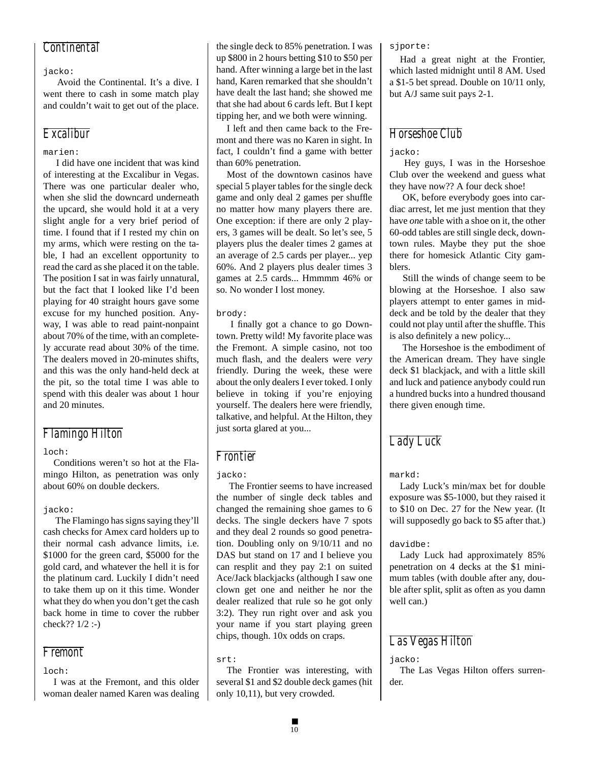#### *Continental*

#### jacko:

 Avoid the Continental. It's a dive. I went there to cash in some match play and couldn't wait to get out of the place.

#### *Excalibur*

#### marien:

 I did have one incident that was kind of interesting at the Excalibur in Vegas. There was one particular dealer who, when she slid the downcard underneath the upcard, she would hold it at a very slight angle for a very brief period of time. I found that if I rested my chin on my arms, which were resting on the table, I had an excellent opportunity to read the card as she placed it on the table. The position I sat in was fairly unnatural, but the fact that I looked like I'd been playing for 40 straight hours gave some excuse for my hunched position. Anyway, I was able to read paint-nonpaint about 70% of the time, with an completely accurate read about 30% of the time. The dealers moved in 20-minutes shifts, and this was the only hand-held deck at the pit, so the total time I was able to spend with this dealer was about 1 hour and 20 minutes.

#### *Flamingo Hilton*

#### loch:

Conditions weren't so hot at the Flamingo Hilton, as penetration was only about 60% on double deckers.

#### jacko:

 The Flamingo has signs saying they'll cash checks for Amex card holders up to their normal cash advance limits, i.e. \$1000 for the green card, \$5000 for the gold card, and whatever the hell it is for the platinum card. Luckily I didn't need to take them up on it this time. Wonder what they do when you don't get the cash back home in time to cover the rubber check?? 1/2 :-)

#### *Fremont*

#### loch:

I was at the Fremont, and this older woman dealer named Karen was dealing the single deck to 85% penetration. I was up \$800 in 2 hours betting \$10 to \$50 per hand. After winning a large bet in the last hand, Karen remarked that she shouldn't have dealt the last hand; she showed me that she had about 6 cards left. But I kept tipping her, and we both were winning.

I left and then came back to the Fremont and there was no Karen in sight. In fact, I couldn't find a game with better than 60% penetration.

Most of the downtown casinos have special 5 player tables for the single deck game and only deal 2 games per shuffle no matter how many players there are. One exception: if there are only 2 players, 3 games will be dealt. So let's see, 5 players plus the dealer times 2 games at an average of 2.5 cards per player... yep 60%. And 2 players plus dealer times 3 games at 2.5 cards... Hmmmm 46% or so. No wonder I lost money.

#### brody:

 I finally got a chance to go Downtown. Pretty wild! My favorite place was the Fremont. A simple casino, not too much flash, and the dealers were *very* friendly. During the week, these were about the only dealers I ever toked. I only believe in toking if you're enjoying yourself. The dealers here were friendly, talkative, and helpful. At the Hilton, they just sorta glared at you...

#### *Frontier*

#### jacko:

 The Frontier seems to have increased the number of single deck tables and changed the remaining shoe games to 6 decks. The single deckers have 7 spots and they deal 2 rounds so good penetration. Doubling only on 9/10/11 and no DAS but stand on 17 and I believe you can resplit and they pay 2:1 on suited Ace/Jack blackjacks (although I saw one clown get one and neither he nor the dealer realized that rule so he got only 3:2). They run right over and ask you your name if you start playing green chips, though. 10x odds on craps.

#### srt:

The Frontier was interesting, with several \$1 and \$2 double deck games (hit only 10,11), but very crowded.

sjporte:

Had a great night at the Frontier, which lasted midnight until 8 AM. Used a \$1-5 bet spread. Double on 10/11 only, but A/J same suit pays 2-1.

### *Horseshoe Club*

jacko:

 Hey guys, I was in the Horseshoe Club over the weekend and guess what they have now?? A four deck shoe!

 OK, before everybody goes into cardiac arrest, let me just mention that they have *one* table with a shoe on it, the other 60-odd tables are still single deck, downtown rules. Maybe they put the shoe there for homesick Atlantic City gamblers.

 Still the winds of change seem to be blowing at the Horseshoe. I also saw players attempt to enter games in middeck and be told by the dealer that they could not play until after the shuffle. This is also definitely a new policy...

 The Horseshoe is the embodiment of the American dream. They have single deck \$1 blackjack, and with a little skill and luck and patience anybody could run a hundred bucks into a hundred thousand there given enough time.

### *Lady Luck*

#### markd:

Lady Luck's min/max bet for double exposure was \$5-1000, but they raised it to \$10 on Dec. 27 for the New year. (It will supposedly go back to \$5 after that.)

#### davidbe:

Lady Luck had approximately 85% penetration on 4 decks at the \$1 minimum tables (with double after any, double after split, split as often as you damn well can.)

### *Las Vegas Hilton*

#### jacko:

The Las Vegas Hilton offers surrender.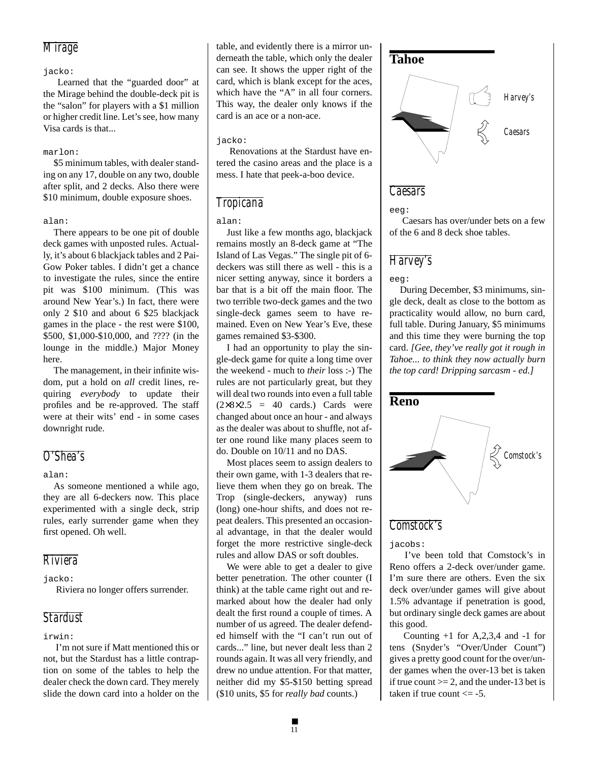#### *Mirage*

#### jacko:

 Learned that the "guarded door" at the Mirage behind the double-deck pit is the "salon" for players with a \$1 million or higher credit line. Let's see, how many Visa cards is that...

#### marlon:

\$5 minimum tables, with dealer standing on any 17, double on any two, double after split, and 2 decks. Also there were \$10 minimum, double exposure shoes.

#### alan:

There appears to be one pit of double deck games with unposted rules. Actually, it's about 6 blackjack tables and 2 Pai-Gow Poker tables. I didn't get a chance to investigate the rules, since the entire pit was \$100 minimum. (This was around New Year's.) In fact, there were only 2 \$10 and about 6 \$25 blackjack games in the place - the rest were \$100, \$500, \$1,000-\$10,000, and ???? (in the lounge in the middle.) Major Money here.

The management, in their infinite wisdom, put a hold on *all* credit lines, requiring *everybody* to update their profiles and be re-approved. The staff were at their wits' end - in some cases downright rude.

#### *O'Shea's*

alan:

As someone mentioned a while ago, they are all 6-deckers now. This place experimented with a single deck, strip rules, early surrender game when they first opened. Oh well.

#### *Riviera*

jacko:

Riviera no longer offers surrender.

#### *Stardust*

irwin:

 I'm not sure if Matt mentioned this or not, but the Stardust has a little contraption on some of the tables to help the dealer check the down card. They merely slide the down card into a holder on the table, and evidently there is a mirror underneath the table, which only the dealer can see. It shows the upper right of the card, which is blank except for the aces, which have the "A" in all four corners. This way, the dealer only knows if the card is an ace or a non-ace.

#### jacko:

 Renovations at the Stardust have entered the casino areas and the place is a mess. I hate that peek-a-boo device.

#### *Tropicana*

#### alan:

Just like a few months ago, blackjack remains mostly an 8-deck game at "The Island of Las Vegas." The single pit of 6 deckers was still there as well - this is a nicer setting anyway, since it borders a bar that is a bit off the main floor. The two terrible two-deck games and the two single-deck games seem to have remained. Even on New Year's Eve, these games remained \$3-\$300.

I had an opportunity to play the single-deck game for quite a long time over the weekend - much to *their* loss :-) The rules are not particularly great, but they will deal two rounds into even a full table  $(2\times8\times2.5 = 40 \text{ cards.})$  Cards were changed about once an hour - and always as the dealer was about to shuffle, not after one round like many places seem to do. Double on 10/11 and no DAS.

Most places seem to assign dealers to their own game, with 1-3 dealers that relieve them when they go on break. The Trop (single-deckers, anyway) runs (long) one-hour shifts, and does not repeat dealers. This presented an occasional advantage, in that the dealer would forget the more restrictive single-deck rules and allow DAS or soft doubles.

We were able to get a dealer to give better penetration. The other counter (I think) at the table came right out and remarked about how the dealer had only dealt the first round a couple of times. A number of us agreed. The dealer defended himself with the "I can't run out of cards..." line, but never dealt less than 2 rounds again. It was all very friendly, and drew no undue attention. For that matter, neither did my \$5-\$150 betting spread (\$10 units, \$5 for *really bad* counts.)



eeg:

 Caesars has over/under bets on a few of the 6 and 8 deck shoe tables.

#### *Harvey's*

eeg:

During December, \$3 minimums, single deck, dealt as close to the bottom as practicality would allow, no burn card, full table. During January, \$5 minimums and this time they were burning the top card. *[Gee, they've really got it rough in Tahoe... to think they now actually burn the top card! Dripping sarcasm - ed.]*



#### *Comstock's*

jacobs:

 I've been told that Comstock's in Reno offers a 2-deck over/under game. I'm sure there are others. Even the six deck over/under games will give about 1.5% advantage if penetration is good, but ordinary single deck games are about this good.

Counting  $+1$  for A, 2, 3, 4 and  $-1$  for tens (Snyder's "Over/Under Count") gives a pretty good count for the over/under games when the over-13 bet is taken if true count  $>= 2$ , and the under-13 bet is taken if true count  $\le$  -5.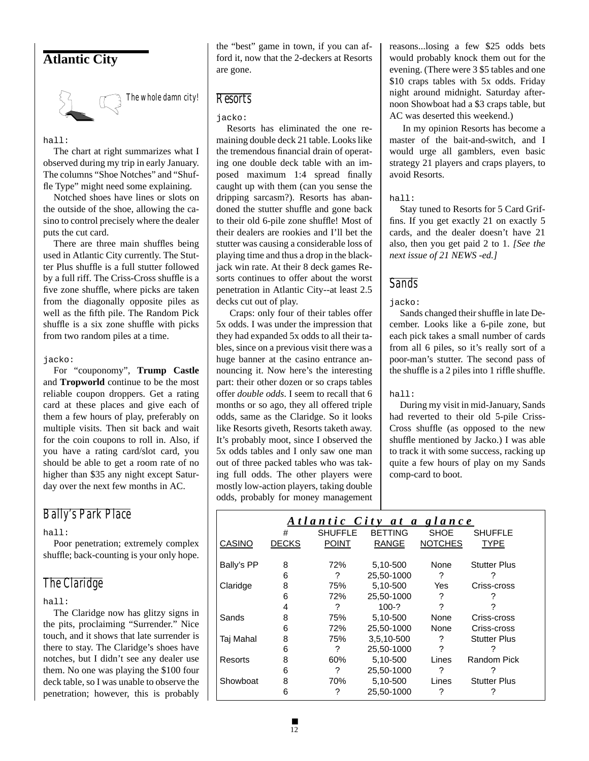### **Atlantic City**



*The whole damn city!*

#### hall:

The chart at right summarizes what I observed during my trip in early January. The columns "Shoe Notches" and "Shuffle Type" might need some explaining.

Notched shoes have lines or slots on the outside of the shoe, allowing the casino to control precisely where the dealer puts the cut card.

There are three main shuffles being used in Atlantic City currently. The Stutter Plus shuffle is a full stutter followed by a full riff. The Criss-Cross shuffle is a five zone shuffle, where picks are taken from the diagonally opposite piles as well as the fifth pile. The Random Pick shuffle is a six zone shuffle with picks from two random piles at a time.

#### jacko:

For "couponomy", **Trump Castle** and **Tropworld** continue to be the most reliable coupon droppers. Get a rating card at these places and give each of them a few hours of play, preferably on multiple visits. Then sit back and wait for the coin coupons to roll in. Also, if you have a rating card/slot card, you should be able to get a room rate of no higher than \$35 any night except Saturday over the next few months in AC.

#### *Bally's Park Place*

#### hall:

Poor penetration; extremely complex shuffle; back-counting is your only hope.

### *The Claridge*

hall:

The Claridge now has glitzy signs in the pits, proclaiming "Surrender." Nice touch, and it shows that late surrender is there to stay. The Claridge's shoes have notches, but I didn't see any dealer use them. No one was playing the \$100 four deck table, so I was unable to observe the penetration; however, this is probably the "best" game in town, if you can afford it, now that the 2-deckers at Resorts are gone.

### *Resorts*

#### jacko:

Resorts has eliminated the one remaining double deck 21 table. Looks like the tremendous financial drain of operating one double deck table with an imposed maximum 1:4 spread finally caught up with them (can you sense the dripping sarcasm?). Resorts has abandoned the stutter shuffle and gone back to their old 6-pile zone shuffle! Most of their dealers are rookies and I'll bet the stutter was causing a considerable loss of playing time and thus a drop in the blackjack win rate. At their 8 deck games Resorts continues to offer about the worst penetration in Atlantic City--at least 2.5 decks cut out of play.

 Craps: only four of their tables offer 5x odds. I was under the impression that they had expanded 5x odds to all their tables, since on a previous visit there was a huge banner at the casino entrance announcing it. Now here's the interesting part: their other dozen or so craps tables offer *double odds*. I seem to recall that 6 months or so ago, they all offered triple odds, same as the Claridge. So it looks like Resorts giveth, Resorts taketh away. It's probably moot, since I observed the 5x odds tables and I only saw one man out of three packed tables who was taking full odds. The other players were mostly low-action players, taking double odds, probably for money management

reasons...losing a few \$25 odds bets would probably knock them out for the evening. (There were 3 \$5 tables and one \$10 craps tables with 5x odds. Friday night around midnight. Saturday afternoon Showboat had a \$3 craps table, but AC was deserted this weekend.)

 In my opinion Resorts has become a master of the bait-and-switch, and I would urge all gamblers, even basic strategy 21 players and craps players, to avoid Resorts.

#### hall:

Stay tuned to Resorts for 5 Card Griffins. If you get exactly 21 on exactly 5 cards, and the dealer doesn't have 21 also, then you get paid 2 to 1. *[See the next issue of 21 NEWS -ed.]*

#### *Sands*

jacko:

Sands changed their shuffle in late December. Looks like a 6-pile zone, but each pick takes a small number of cards from all 6 piles, so it's really sort of a poor-man's stutter. The second pass of the shuffle is a 2 piles into 1 riffle shuffle.

#### hall:

During my visit in mid-January, Sands had reverted to their old 5-pile Criss-Cross shuffle (as opposed to the new shuffle mentioned by Jacko.) I was able to track it with some success, racking up quite a few hours of play on my Sands comp-card to boot.

| Atlantic City at a glance |              |                |                |                |                     |  |  |  |
|---------------------------|--------------|----------------|----------------|----------------|---------------------|--|--|--|
|                           | #            | <b>SHUFFLE</b> | <b>BETTING</b> | <b>SHOE</b>    | <b>SHUFFLE</b>      |  |  |  |
| CASINO                    | <b>DECKS</b> | <b>POINT</b>   | <b>RANGE</b>   | <b>NOTCHES</b> | <b>TYPE</b>         |  |  |  |
| Bally's PP                | 8            | 72%            | 5,10-500       | None           | <b>Stutter Plus</b> |  |  |  |
|                           | 6            | ?              | 25.50-1000     | ?              |                     |  |  |  |
| Claridge                  | 8            | 75%            | 5,10-500       | Yes            | Criss-cross         |  |  |  |
|                           | 6            | 72%            | 25,50-1000     | ?              |                     |  |  |  |
|                           | 4            | ?              | $100-?$        |                |                     |  |  |  |
| Sands                     | 8            | 75%            | 5.10-500       | None           | Criss-cross         |  |  |  |
|                           | 6            | 72%            | 25.50-1000     | None           | Criss-cross         |  |  |  |
| Taj Mahal                 | 8            | 75%            | 3,5,10-500     | ?              | <b>Stutter Plus</b> |  |  |  |
|                           | 6            | ?              | 25.50-1000     | 2              |                     |  |  |  |
| Resorts                   | 8            | 60%            | 5,10-500       | Lines          | Random Pick         |  |  |  |
|                           | 6            | ?              | 25,50-1000     | ?              |                     |  |  |  |
| Showboat                  | 8            | 70%            | 5,10-500       | Lines          | <b>Stutter Plus</b> |  |  |  |
|                           | 6            | ?              | 25,50-1000     | 7              |                     |  |  |  |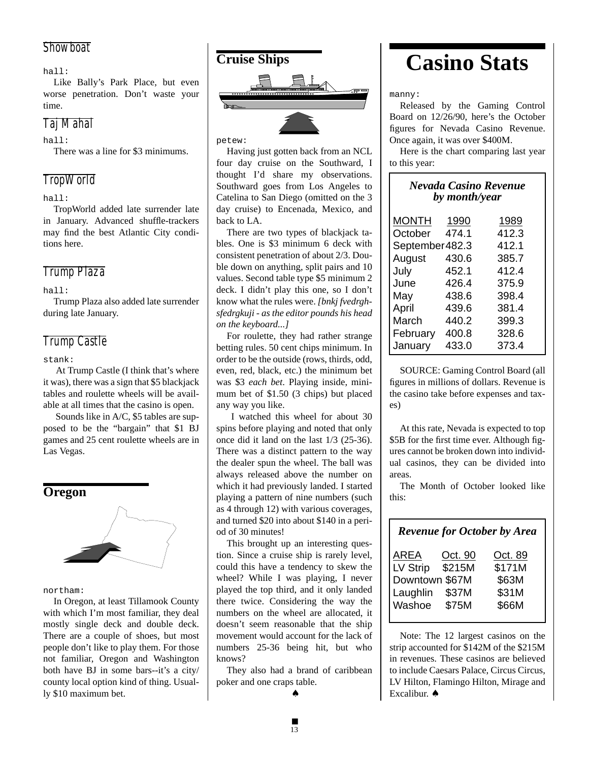#### *Showboat*

hall:

Like Bally's Park Place, but even worse penetration. Don't waste your time.

### *Taj Mahal*

hall:

There was a line for \$3 minimums.

### *TropWorld*

hall:

TropWorld added late surrender late in January. Advanced shuffle-trackers may find the best Atlantic City conditions here.

### *Trump Plaza*

hall:

Trump Plaza also added late surrender during late January.

### *Trump Castle*

stank:

 At Trump Castle (I think that's where it was), there was a sign that \$5 blackjack tables and roulette wheels will be available at all times that the casino is open.

 Sounds like in A/C, \$5 tables are supposed to be the "bargain" that \$1 BJ games and 25 cent roulette wheels are in Las Vegas.



northam:

In Oregon, at least Tillamook County with which I'm most familiar, they deal mostly single deck and double deck. There are a couple of shoes, but most people don't like to play them. For those not familiar, Oregon and Washington both have BJ in some bars--it's a city/ county local option kind of thing. Usually \$10 maximum bet.



petew:

Having just gotten back from an NCL four day cruise on the Southward, I thought I'd share my observations. Southward goes from Los Angeles to Catelina to San Diego (omitted on the 3 day cruise) to Encenada, Mexico, and back to LA.

There are two types of blackjack tables. One is \$3 minimum 6 deck with consistent penetration of about 2/3. Double down on anything, split pairs and 10 values. Second table type \$5 minimum 2 deck. I didn't play this one, so I don't know what the rules were. *[bnkj fvedrghsfedrgkuji - as the editor pounds his head on the keyboard...]*

For roulette, they had rather strange betting rules. 50 cent chips minimum. In order to be the outside (rows, thirds, odd, even, red, black, etc.) the minimum bet was \$3 *each bet*. Playing inside, minimum bet of \$1.50 (3 chips) but placed any way you like.

 I watched this wheel for about 30 spins before playing and noted that only once did it land on the last 1/3 (25-36). There was a distinct pattern to the way the dealer spun the wheel. The ball was always released above the number on which it had previously landed. I started playing a pattern of nine numbers (such as 4 through 12) with various coverages, and turned \$20 into about \$140 in a period of 30 minutes!

This brought up an interesting question. Since a cruise ship is rarely level, could this have a tendency to skew the wheel? While I was playing, I never played the top third, and it only landed there twice. Considering the way the numbers on the wheel are allocated, it doesn't seem reasonable that the ship movement would account for the lack of numbers 25-36 being hit, but who knows?

They also had a brand of caribbean poker and one craps table. ♠



manny:

Released by the Gaming Control Board on 12/26/90, here's the October figures for Nevada Casino Revenue. Once again, it was over \$400M.

Here is the chart comparing last year to this year:

| <b>Nevada Casino Revenue</b><br>by month/year |       |       |  |  |  |  |  |
|-----------------------------------------------|-------|-------|--|--|--|--|--|
| MONTH                                         | 1990  | 1989  |  |  |  |  |  |
| October                                       | 474.1 | 412.3 |  |  |  |  |  |
| 412.1<br>September 482.3                      |       |       |  |  |  |  |  |
| August                                        | 430.6 | 385.7 |  |  |  |  |  |
| July                                          | 452.1 | 412.4 |  |  |  |  |  |
| June                                          | 426.4 | 375.9 |  |  |  |  |  |
| May                                           | 438.6 | 398.4 |  |  |  |  |  |
| April                                         | 439.6 | 381.4 |  |  |  |  |  |
| March                                         | 440.2 | 399.3 |  |  |  |  |  |
| February                                      | 400.8 | 328.6 |  |  |  |  |  |
| January                                       | 433.0 | 373.4 |  |  |  |  |  |
|                                               |       |       |  |  |  |  |  |

SOURCE: Gaming Control Board (all figures in millions of dollars. Revenue is the casino take before expenses and taxes)

At this rate, Nevada is expected to top \$5B for the first time ever. Although figures cannot be broken down into individual casinos, they can be divided into areas.

The Month of October looked like this:

### *Revenue for October by Area*

| AREA           | Oct. 90 | Oct. 89 |
|----------------|---------|---------|
| LV Strip       | \$215M  | \$171M  |
| Downtown \$67M |         | \$63M   |
| Laughlin       | \$37M   | \$31M   |
| Washoe         | \$75M   | \$66M   |
|                |         |         |

Note: The 12 largest casinos on the strip accounted for \$142M of the \$215M in revenues. These casinos are believed to include Caesars Palace, Circus Circus, LV Hilton, Flamingo Hilton, Mirage and Excalibur. ♠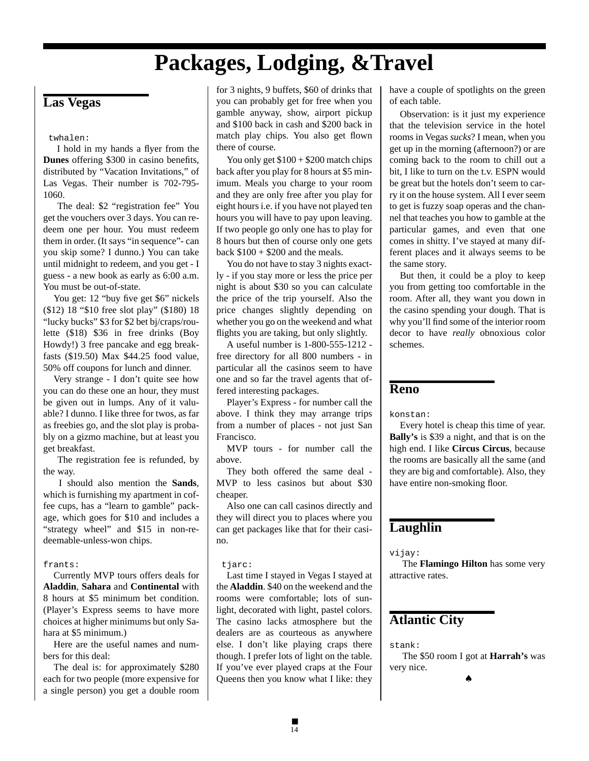# **Packages, Lodging, &Travel**

### **Las Vegas**

#### twhalen:

 I hold in my hands a flyer from the **Dunes** offering \$300 in casino benefits, distributed by "Vacation Invitations," of Las Vegas. Their number is 702-795- 1060.

 The deal: \$2 "registration fee" You get the vouchers over 3 days. You can redeem one per hour. You must redeem them in order. (It says "in sequence"- can you skip some? I dunno.) You can take until midnight to redeem, and you get - I guess - a new book as early as 6:00 a.m. You must be out-of-state.

You get: 12 "buy five get \$6" nickels (\$12) 18 "\$10 free slot play" (\$180) 18 "lucky bucks" \$3 for \$2 bet bj/craps/roulette (\$18) \$36 in free drinks (Boy Howdy!) 3 free pancake and egg breakfasts (\$19.50) Max \$44.25 food value, 50% off coupons for lunch and dinner.

Very strange - I don't quite see how you can do these one an hour, they must be given out in lumps. Any of it valuable? I dunno. I like three for twos, as far as freebies go, and the slot play is probably on a gizmo machine, but at least you get breakfast.

 The registration fee is refunded, by the way.

 I should also mention the **Sands**, which is furnishing my apartment in coffee cups, has a "learn to gamble" package, which goes for \$10 and includes a "strategy wheel" and \$15 in non-redeemable-unless-won chips.

#### frants:

Currently MVP tours offers deals for **Aladdin**, **Sahara** and **Continental** with 8 hours at \$5 minimum bet condition. (Player's Express seems to have more choices at higher minimums but only Sahara at \$5 minimum.)

Here are the useful names and numbers for this deal:

The deal is: for approximately \$280 each for two people (more expensive for a single person) you get a double room

for 3 nights, 9 buffets, \$60 of drinks that you can probably get for free when you gamble anyway, show, airport pickup and \$100 back in cash and \$200 back in match play chips. You also get flown there of course.

You only get  $$100 + $200$  match chips back after you play for 8 hours at \$5 minimum. Meals you charge to your room and they are only free after you play for eight hours i.e. if you have not played ten hours you will have to pay upon leaving. If two people go only one has to play for 8 hours but then of course only one gets back  $$100 + $200$  and the meals.

You do not have to stay 3 nights exactly - if you stay more or less the price per night is about \$30 so you can calculate the price of the trip yourself. Also the price changes slightly depending on whether you go on the weekend and what flights you are taking, but only slightly.

A useful number is 1-800-555-1212 free directory for all 800 numbers - in particular all the casinos seem to have one and so far the travel agents that offered interesting packages.

Player's Express - for number call the above. I think they may arrange trips from a number of places - not just San Francisco.

MVP tours - for number call the above.

They both offered the same deal - MVP to less casinos but about \$30 cheaper.

Also one can call casinos directly and they will direct you to places where you can get packages like that for their casino.

#### tjarc:

Last time I stayed in Vegas I stayed at the **Aladdin**. \$40 on the weekend and the rooms were comfortable; lots of sunlight, decorated with light, pastel colors. The casino lacks atmosphere but the dealers are as courteous as anywhere else. I don't like playing craps there though. I prefer lots of light on the table. If you've ever played craps at the Four Queens then you know what I like: they

have a couple of spotlights on the green of each table.

Observation: is it just my experience that the television service in the hotel rooms in Vegas *sucks*? I mean, when you get up in the morning (afternoon?) or are coming back to the room to chill out a bit, I like to turn on the t.v. ESPN would be great but the hotels don't seem to carry it on the house system. All I ever seem to get is fuzzy soap operas and the channel that teaches you how to gamble at the particular games, and even that one comes in shitty. I've stayed at many different places and it always seems to be the same story.

But then, it could be a ploy to keep you from getting too comfortable in the room. After all, they want you down in the casino spending your dough. That is why you'll find some of the interior room decor to have *really* obnoxious color schemes.

#### **Reno**

konstan:

Every hotel is cheap this time of year. **Bally's** is \$39 a night, and that is on the high end. I like **Circus Circus**, because the rooms are basically all the same (and they are big and comfortable). Also, they have entire non-smoking floor.

#### **Laughlin**

vijay:

 The **Flamingo Hilton** has some very attractive rates.

#### **Atlantic City**

stank:

 The \$50 room I got at **Harrah's** was very nice.

♠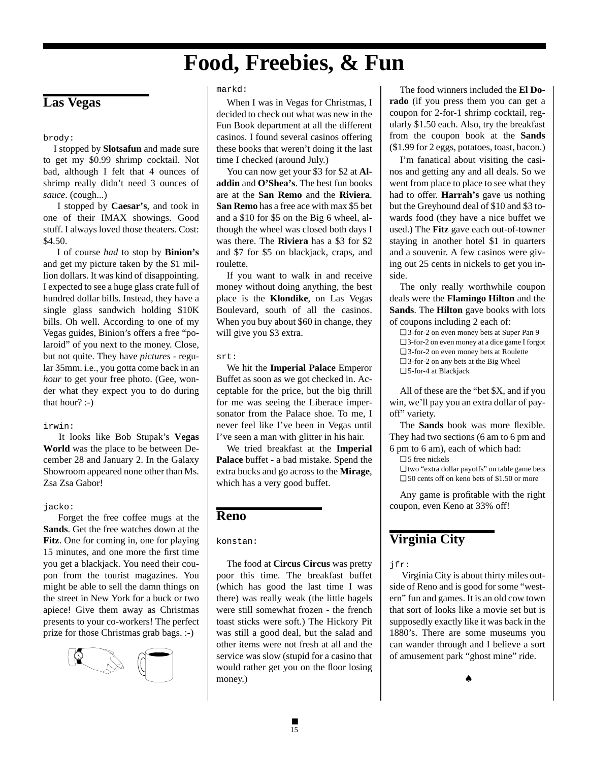# **Food, Freebies, & Fun**

### **Las Vegas**

brody:

I stopped by **Slotsafun** and made sure to get my \$0.99 shrimp cocktail. Not bad, although I felt that 4 ounces of shrimp really didn't need 3 ounces of *sauce*. (cough...)

 I stopped by **Caesar's**, and took in one of their IMAX showings. Good stuff. I always loved those theaters. Cost: \$4.50.

 I of course *had* to stop by **Binion's** and get my picture taken by the \$1 million dollars. It was kind of disappointing. I expected to see a huge glass crate full of hundred dollar bills. Instead, they have a single glass sandwich holding \$10K bills. Oh well. According to one of my Vegas guides, Binion's offers a free "polaroid" of you next to the money. Close, but not quite. They have *pictures* - regular 35mm. i.e., you gotta come back in an *hour* to get your free photo. (Gee, wonder what they expect you to do during that hour? :-)

#### irwin:

 It looks like Bob Stupak's **Vegas World** was the place to be between December 28 and January 2. In the Galaxy Showroom appeared none other than Ms. Zsa Zsa Gabor!

#### jacko:

 Forget the free coffee mugs at the **Sands**. Get the free watches down at the **Fitz**. One for coming in, one for playing 15 minutes, and one more the first time you get a blackjack. You need their coupon from the tourist magazines. You might be able to sell the damn things on the street in New York for a buck or two apiece! Give them away as Christmas presents to your co-workers! The perfect prize for those Christmas grab bags. :-)



#### markd:

When I was in Vegas for Christmas, I decided to check out what was new in the Fun Book department at all the different casinos. I found several casinos offering these books that weren't doing it the last time I checked (around July.)

You can now get your \$3 for \$2 at **Aladdin** and **O'Shea's**. The best fun books are at the **San Remo** and the **Riviera**. **San Remo** has a free ace with max \$5 bet and a \$10 for \$5 on the Big 6 wheel, although the wheel was closed both days I was there. The **Riviera** has a \$3 for \$2 and \$7 for \$5 on blackjack, craps, and roulette.

If you want to walk in and receive money without doing anything, the best place is the **Klondike**, on Las Vegas Boulevard, south of all the casinos. When you buy about \$60 in change, they will give you \$3 extra.

#### srt:

We hit the **Imperial Palace** Emperor Buffet as soon as we got checked in. Acceptable for the price, but the big thrill for me was seeing the Liberace impersonator from the Palace shoe. To me, I never feel like I've been in Vegas until I've seen a man with glitter in his hair.

We tried breakfast at the **Imperial Palace** buffet - a bad mistake. Spend the extra bucks and go across to the **Mirage**, which has a very good buffet.

#### **Reno**

konstan:

The food at **Circus Circus** was pretty poor this time. The breakfast buffet (which has good the last time I was there) was really weak (the little bagels were still somewhat frozen - the french toast sticks were soft.) The Hickory Pit was still a good deal, but the salad and other items were not fresh at all and the service was slow (stupid for a casino that would rather get you on the floor losing money.)

The food winners included the **El Dorado** (if you press them you can get a coupon for 2-for-1 shrimp cocktail, regularly \$1.50 each. Also, try the breakfast from the coupon book at the **Sands** (\$1.99 for 2 eggs, potatoes, toast, bacon.)

I'm fanatical about visiting the casinos and getting any and all deals. So we went from place to place to see what they had to offer. **Harrah's** gave us nothing but the Greyhound deal of \$10 and \$3 towards food (they have a nice buffet we used.) The **Fitz** gave each out-of-towner staying in another hotel \$1 in quarters and a souvenir. A few casinos were giving out 25 cents in nickels to get you inside.

The only really worthwhile coupon deals were the **Flamingo Hilton** and the **Sands**. The **Hilton** gave books with lots of coupons including 2 each of:

❏ 3-for-2 on even money bets at Super Pan 9 ❏ 3-for-2 on even money at a dice game I forgot ❏ 3-for-2 on even money bets at Roulette ❏ 3-for-2 on any bets at the Big Wheel ❏ 5-for-4 at Blackjack

All of these are the "bet \$X, and if you win, we'll pay you an extra dollar of payoff" variety.

The **Sands** book was more flexible. They had two sections (6 am to 6 pm and 6 pm to 6 am), each of which had:

❏ 5 free nickels

❏ two "extra dollar payoffs" on table game bets ❏ 50 cents off on keno bets of \$1.50 or more

Any game is profitable with the right coupon, even Keno at 33% off!

#### **Virginia City**

jfr:

 Virginia City is about thirty miles outside of Reno and is good for some "western" fun and games. It is an old cow town that sort of looks like a movie set but is supposedly exactly like it was back in the 1880's. There are some museums you can wander through and I believe a sort of amusement park "ghost mine" ride.

♠